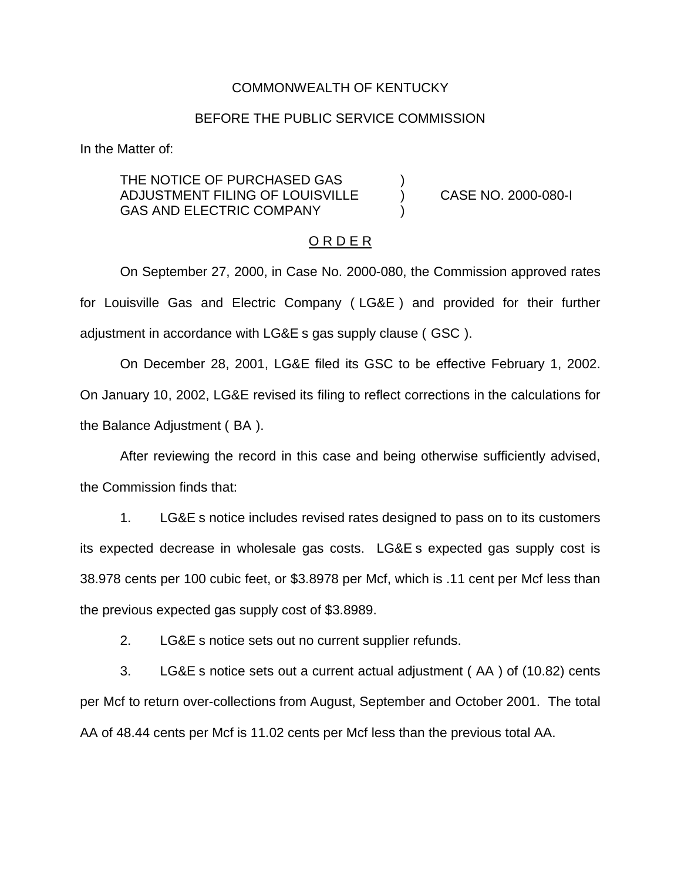### COMMONWEALTH OF KENTUCKY

### BEFORE THE PUBLIC SERVICE COMMISSION

In the Matter of:

THE NOTICE OF PURCHASED GAS ADJUSTMENT FILING OF LOUISVILLE ) CASE NO. 2000-080-I GAS AND ELECTRIC COMPANY

### O R D E R

On September 27, 2000, in Case No. 2000-080, the Commission approved rates for Louisville Gas and Electric Company ( LG&E ) and provided for their further adjustment in accordance with LG&E s gas supply clause ( GSC ).

On December 28, 2001, LG&E filed its GSC to be effective February 1, 2002. On January 10, 2002, LG&E revised its filing to reflect corrections in the calculations for the Balance Adjustment ( BA ).

After reviewing the record in this case and being otherwise sufficiently advised, the Commission finds that:

1. LG&E s notice includes revised rates designed to pass on to its customers its expected decrease in wholesale gas costs. LG&E s expected gas supply cost is 38.978 cents per 100 cubic feet, or \$3.8978 per Mcf, which is .11 cent per Mcf less than the previous expected gas supply cost of \$3.8989.

2. LG&E s notice sets out no current supplier refunds.

3. LG&E s notice sets out a current actual adjustment ( AA ) of (10.82) cents per Mcf to return over-collections from August, September and October 2001. The total AA of 48.44 cents per Mcf is 11.02 cents per Mcf less than the previous total AA.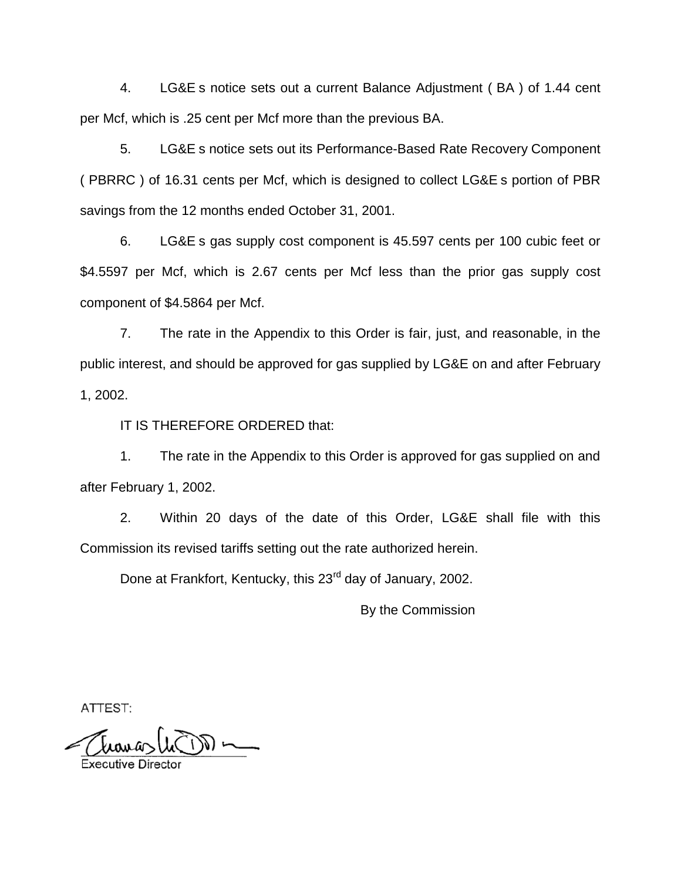4. LG&E s notice sets out a current Balance Adjustment ( BA ) of 1.44 cent per Mcf, which is .25 cent per Mcf more than the previous BA.

5. LG&E s notice sets out its Performance-Based Rate Recovery Component ( PBRRC ) of 16.31 cents per Mcf, which is designed to collect LG&E s portion of PBR savings from the 12 months ended October 31, 2001.

6. LG&E s gas supply cost component is 45.597 cents per 100 cubic feet or \$4.5597 per Mcf, which is 2.67 cents per Mcf less than the prior gas supply cost component of \$4.5864 per Mcf.

7. The rate in the Appendix to this Order is fair, just, and reasonable, in the public interest, and should be approved for gas supplied by LG&E on and after February 1, 2002.

IT IS THEREFORE ORDERED that:

1. The rate in the Appendix to this Order is approved for gas supplied on and after February 1, 2002.

2. Within 20 days of the date of this Order, LG&E shall file with this Commission its revised tariffs setting out the rate authorized herein.

Done at Frankfort, Kentucky, this 23<sup>rd</sup> day of January, 2002.

By the Commission

ATTEST:

 $\mathcal{D}$   $\sim$